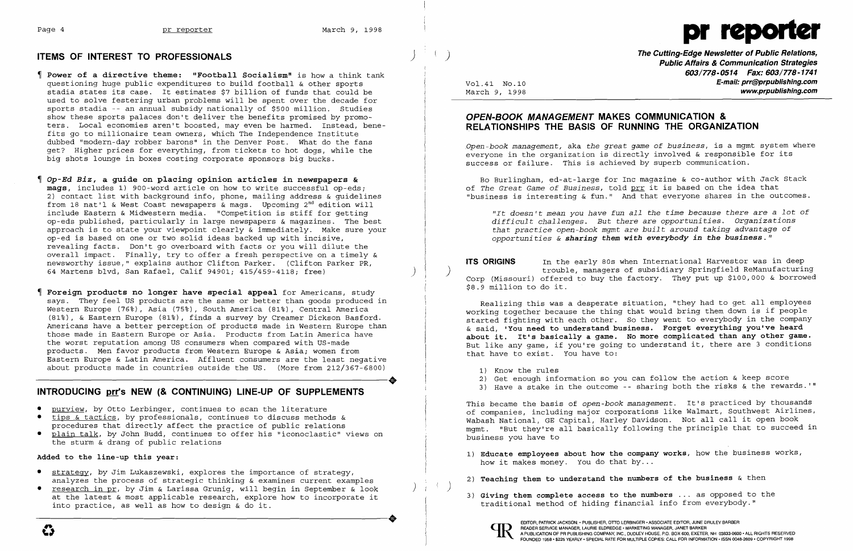# **ITEMS OF INTEREST TO PROFESSIONALS**



- **Power of a directive theme: "Football Socialism"** is how a think tank questioning huge public expenditures to build football & other sports stadia states its case. It estimates \$7 billion of funds that could be used to solve festering urban problems will be spent over the decade for sports stadia -- an annual subsidy nationally of \$500 million. Studies show these sports palaces don't deliver the benefits promised by promoters. Local economies aren't boosted, may even be harmed. Instead, bene fits go to millionaire team owners, which The Independence Institute dubbed "modern-day robber barons" in the Denver Post. What do the fans get? Higher prices for everything, from tickets to hot dogs, while the big shots lounge in boxes costing corporate sponsors big bucks.
- *Op-Ed Biz,* **a guide on placing opinion articles in newspapers & mags,** includes 1) 900-word article on how to write successful op-eds; 2) contact list with background info, phone, mailing address & guidelines from 18 nat'l & West Coast newspapers & mags. Upcoming  $2^{nd}$  edition will include Eastern & Midwestern media. "Competition is stiff for getting op-eds published, particularly in large newspapers & magazines. The best approach is to state your viewpoint clearly & immediately. Make sure your op-ed is based on one or two solid ideas backed up with incisive, revealing facts. Don't go overboard with facts or you will dilute the overall impact. Finally, try to offer a fresh perspective on a timely & newsworthy issue," explains author Clifton Parker. (Clifton Parker PR, 64 Martens blvd, San Rafael, Calif 94901; 415/459-4118; free) )
- **Foreign products no longer have special appeal** for Americans, study says. They feel US products are the same or better than goods produced in Western Europe (76%), Asia (75%), South America (81%), Central America (81%), & Eastern Europe (81%), finds a survey by Creamer Dickson Basford. Americans have a better perception of products made in Western Europe than those made in Eastern Europe or Asia. Products from Latin America have the worst reputation among US consumers when compared with US-made products. Men favor products from Western Europe & Asia; women from Eastern Europe & Latin America. Affluent consumers are the least negative<br>about products made in countries outside the US. (More from 212/367-6800) about products made in countries outside the US. (More from 212/367-6800)

# **INTRODUCING prr's NEW (& CONTINUING) LINE-UP OF SUPPLEMENTS**

**The Cutting-Edge Newsletter of Public Relations,** ) **Public Affairs & Communication Strategies**  603/778-0514 Fax: 603/778-1741 Vo1.41 NO.10 **E-mail: prr@prpublishing.com**  www.prpublishing.com

- • purview, by Otto Lerbinger, continues to scan the literature tips  $\&$  tactics, by professionals, continues to discuss methods  $\&$
- procedures that directly affect the practice of public relations
- plain talk, by John Budd, continues to offer his "iconoclastic" views on the sturm & drang of public relations

### **Added to the line-up this year:**

- how it makes money. You do that  $by...$
- 2) **Teaching them to understand the numbers of the business** & then
- 3) **Giving them complete access to the numbers ...** as opposed to the traditional method of hiding financial info from everybody."



EDITOR, PATRICK JACKSON. • PUBLISHER, OTTO LERBINGER • ASSOCIATE EDITOR, JUNE DRULEY BARBER<br>
PEADER SERVICE MANAGER, LAURIE ELDREDGE • MARKETING MANAGER, JANET BARKER<br>
FOUNDED 1958 • \$225 YEARLY • SPECIAL RATE FOR MULTIPLE READER SERVICE MANAGER, LAURIE ELDREDGE' MARKETING MANAGER, JANET BARKER

- • strategy, by Jim Lukaszewski, explores the importance of strategy, analyzes the process of strategic thinking & examines current examples
- research in pr, by Jim & Larissa Grunig, will begin in September & look at the latest & most applicable research, explore how to incorporate it into practice, as well as how to design & do it. into practice, as well as how to design & do it.

# **OPEN-BOOK MANAGEMENT MAKES COMMUNICATION & RELATIONSHIPS THE BASIS OF RUNNING THE ORGANIZATION**

*Open-book management,* aka *the great game* of *business,* is a mgmt system where everyone in the organization is directly involved & responsible for its success or failure. This is achieved by superb communication.

Bo Burlingham, ed-at-large for Inc magazine & co-author with Jack Stack of *The Great Game* of *Business,* told prr it is based on the idea that "business is interesting & fun." And that everyone shares in the outcomes.

*"It doesn'* t *mean you have fun all the time because there are* a *lot* of *difficult challenges. But there are opportunities. Organizations that practice open-book mgmt are built around taking advantage* of *opportuni ties* & *sharing them with everybody in the business. "* 

**ITS ORIGINS** In the early 80s when International Harvestor was in deep ) trouble, managers of subsidiary Springfield ReManufacturing Corp (Missouri) offered to buy the factory. They put up \$100,000 & borrowed

\$8.9 million to do it.

Realizing this was a desperate situation, "they had to get all employees working together because the thing that would bring them down is if people started fighting with each other. So they went to everybody in the company & said, **'You need to understand business. Forget everything you've heard about it. It's basically a game. No more complicated than any other game.**  But like any game, if you're going to understand it, there are 3 conditions that have to exist. You have to:

- 1) Know the rules
- 2) Get enough information so you can follow the action & keep score
- 

3) Have a stake in the outcome -- sharing both the risks & the rewards. '"

This became the basis of *open-book management.* It's practiced by thousands of companies, including major corporations like Walmart, Southwest Airlines, Wabash National, GE Capital, Harley Davidson. Not all call it open book mgmt. "But they're all basically following the principle that to succeed in business you have to

1) **Educate employees about how the company works,** how the business works,

)